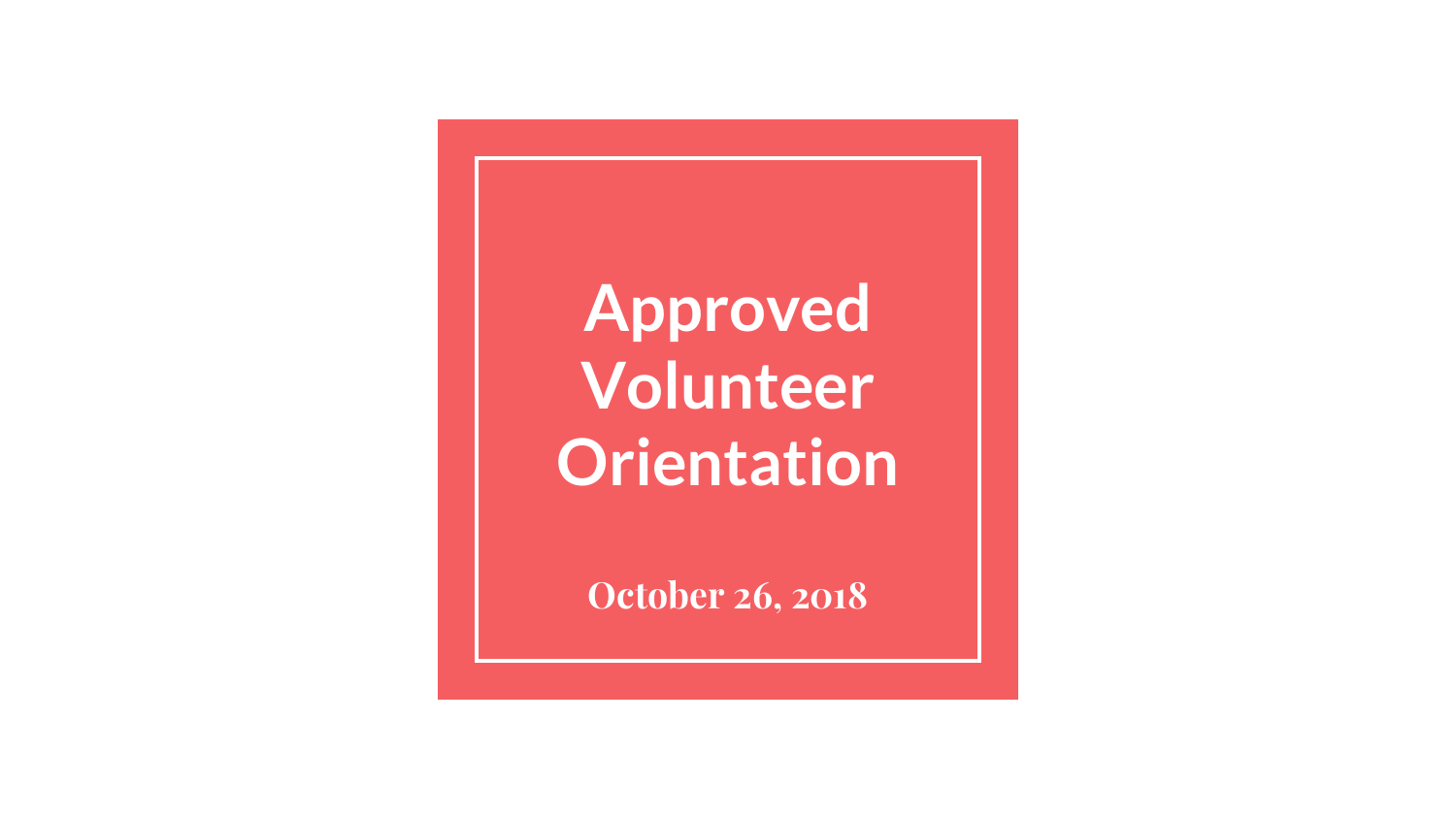**Approved Volunteer Orientation**

**October 26, 2018**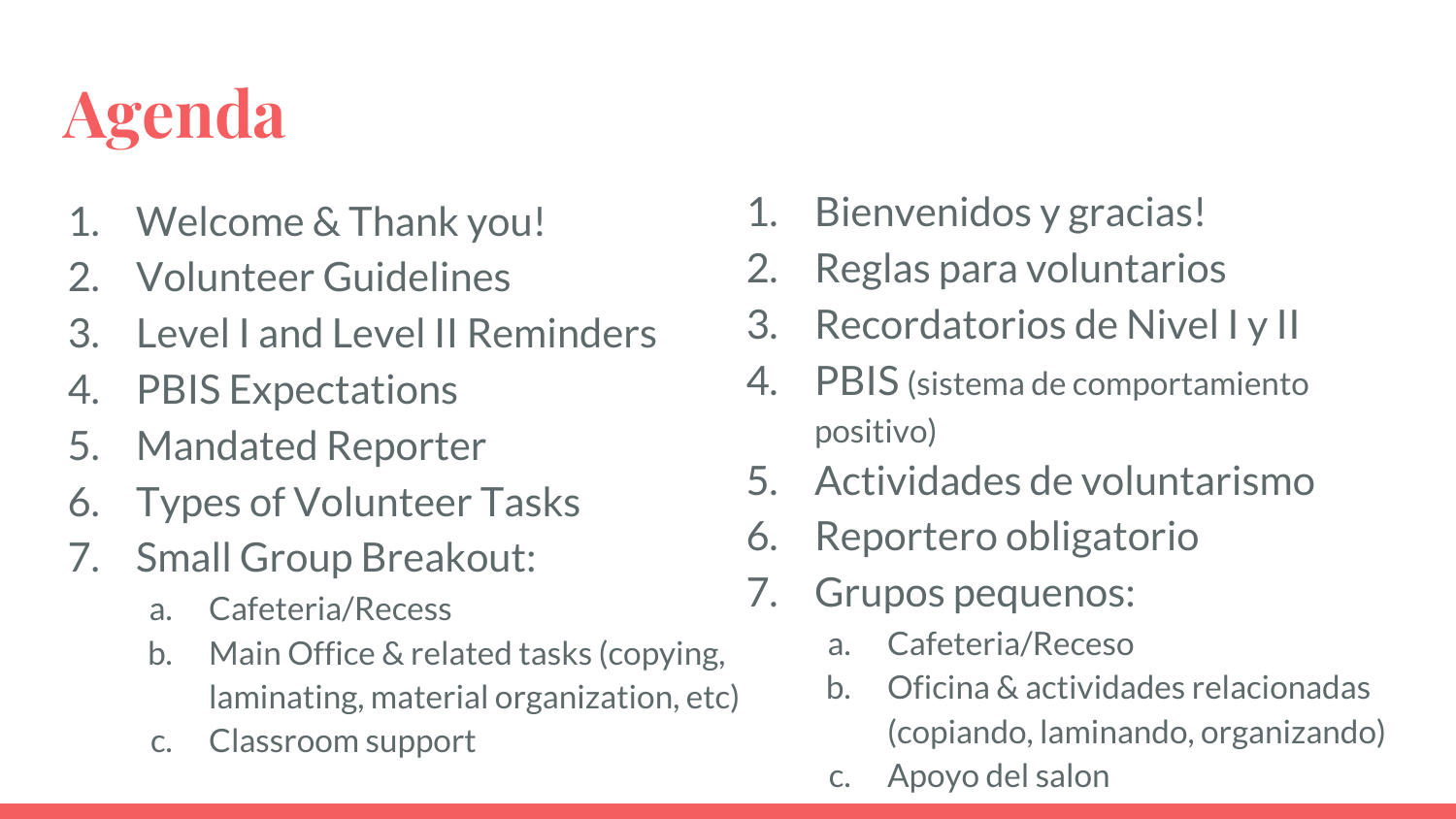# **Agenda**

- 1. Welcome & Thank you!
- 2. Volunteer Guidelines
- 3. Level I and Level II Reminders
- 4. PBIS Expectations
- 5. Mandated Reporter
- 6. Types of Volunteer Tasks
- 7. Small Group Breakout:
	- a. Cafeteria/Recess
	- b. Main Office & related tasks (copying, laminating, material organization, etc)
	- c. Classroom support
- 1. Bienvenidos y gracias!
- 2. Reglas para voluntarios
- 3. Recordatorios de Nivel I y II
- 4. PBIS (sistema de comportamiento positivo)
- 5. Actividades de voluntarismo
- 6. Reportero obligatorio
- 7. Grupos pequenos:
	- a. Cafeteria/Receso
	- b. Oficina & actividades relacionadas (copiando, laminando, organizando)
	- c. Apoyo del salon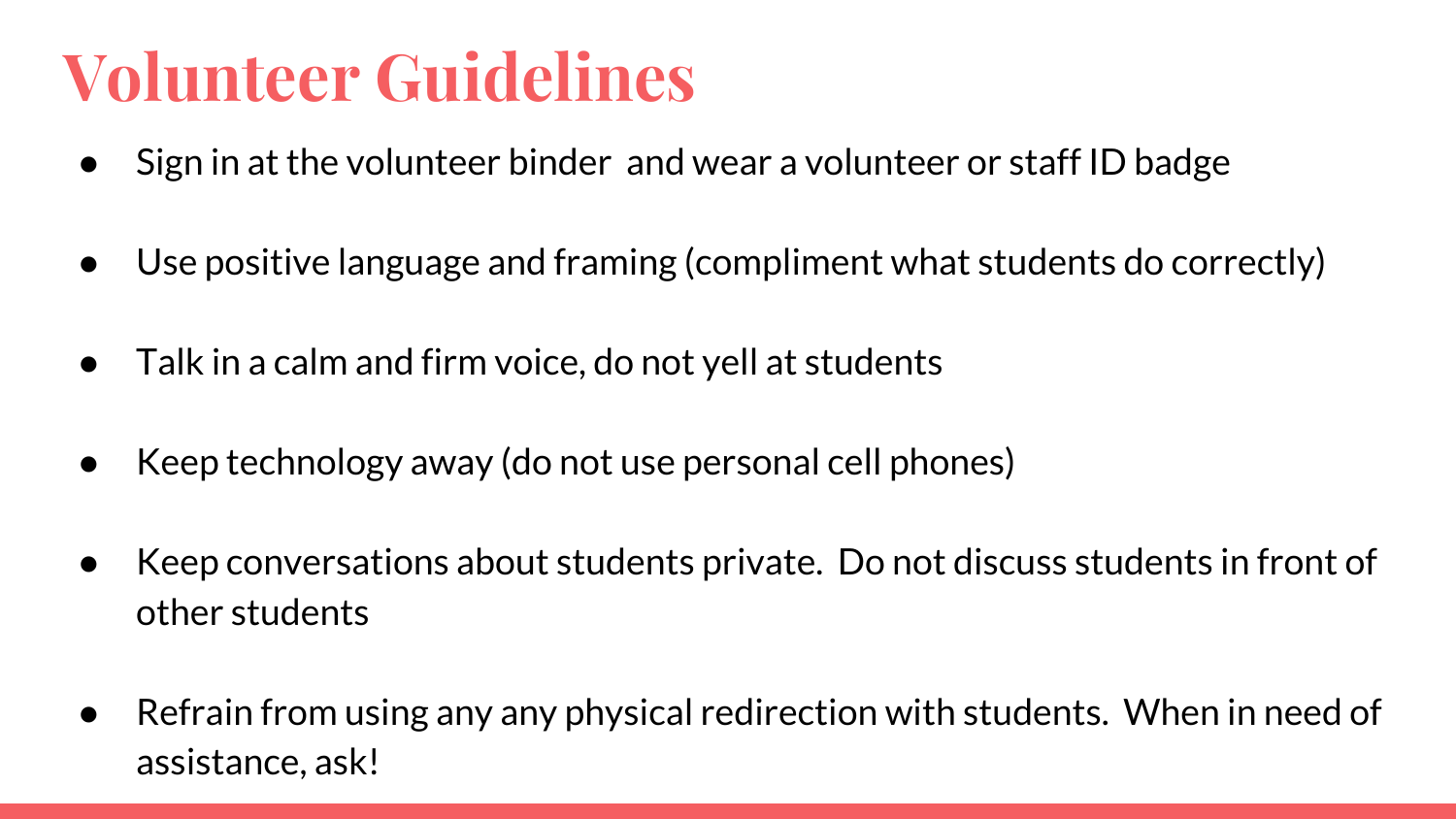### **Volunteer Guidelines**

- Sign in at the volunteer binder and wear a volunteer or staff ID badge
- Use positive language and framing (compliment what students do correctly)
- $\bullet$  Talk in a calm and firm voice, do not yell at students
- Keep technology away (do not use personal cell phones)
- Keep conversations about students private. Do not discuss students in front of other students
- Refrain from using any any physical redirection with students. When in need of assistance, ask!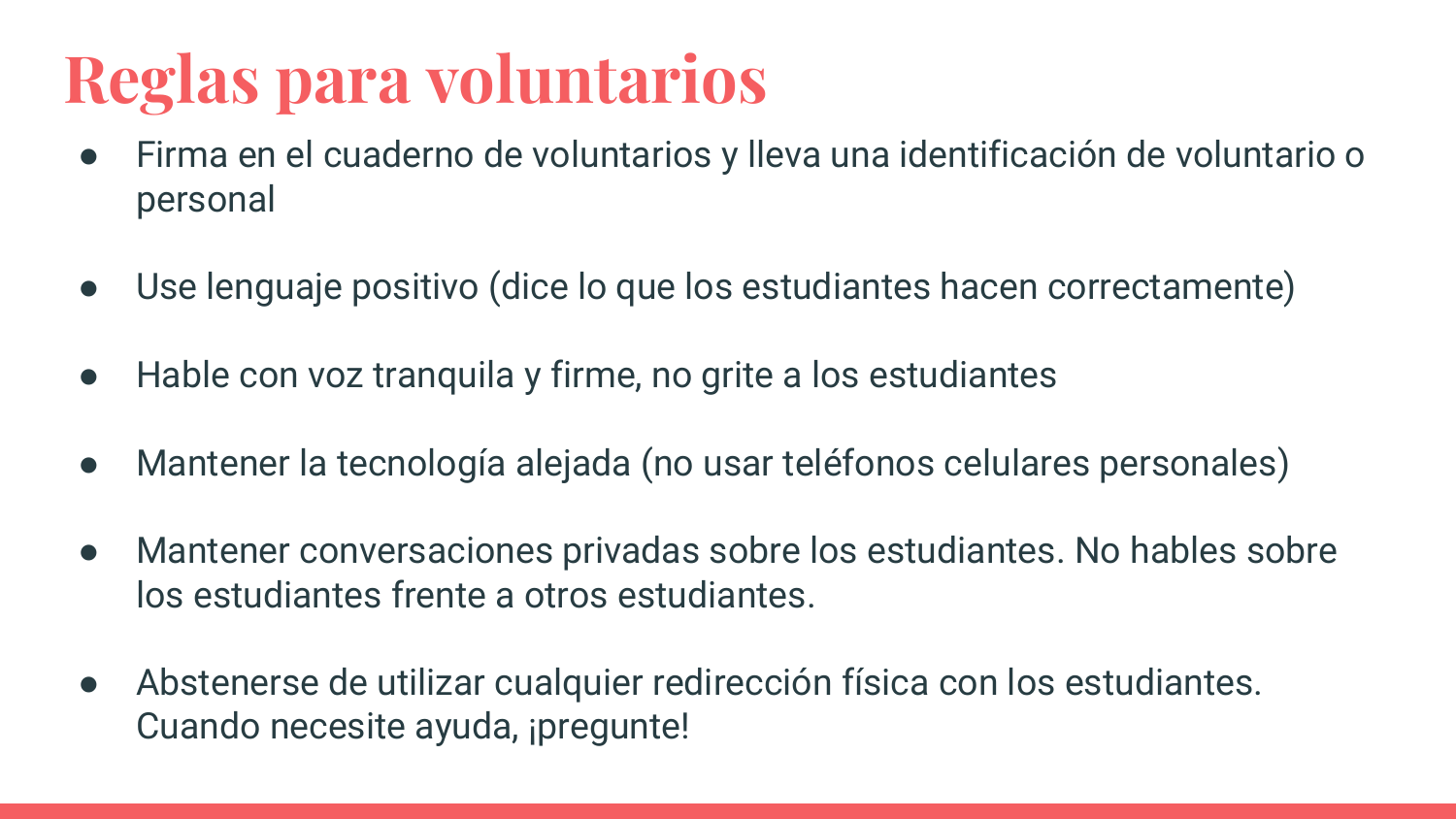### **Reglas para voluntarios**

- Firma en el cuaderno de voluntarios y lleva una identificación de voluntario o personal
- Use lenguaje positivo (dice lo que los estudiantes hacen correctamente)
- Hable con voz tranquila y firme, no grite a los estudiantes
- Mantener la tecnología alejada (no usar teléfonos celulares personales)
- Mantener conversaciones privadas sobre los estudiantes. No hables sobre los estudiantes frente a otros estudiantes.
- Abstenerse de utilizar cualquier redirección física con los estudiantes. Cuando necesite ayuda, ipregunte!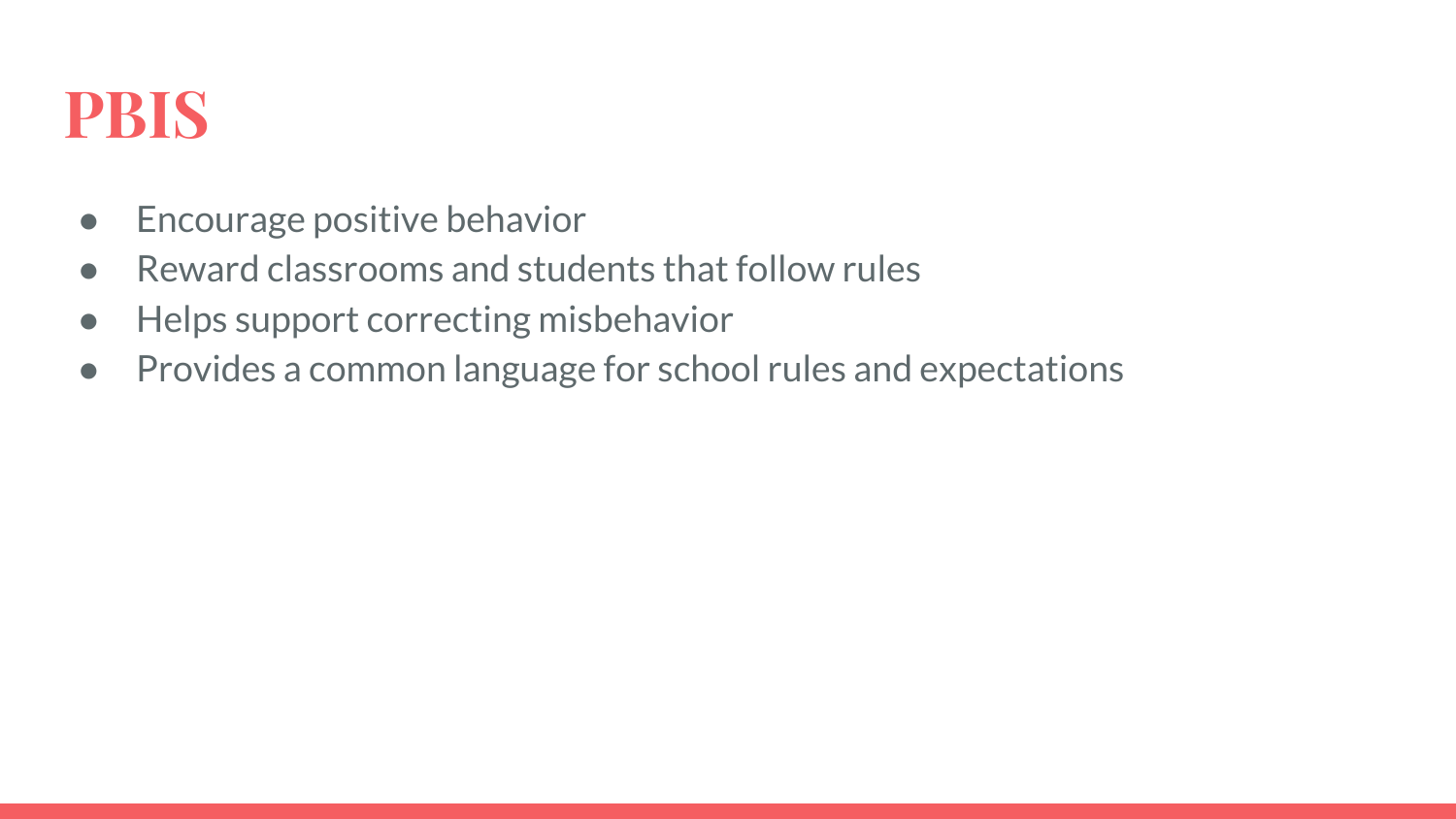#### **PBIS**

- Encourage positive behavior
- Reward classrooms and students that follow rules
- Helps support correcting misbehavior
- Provides a common language for school rules and expectations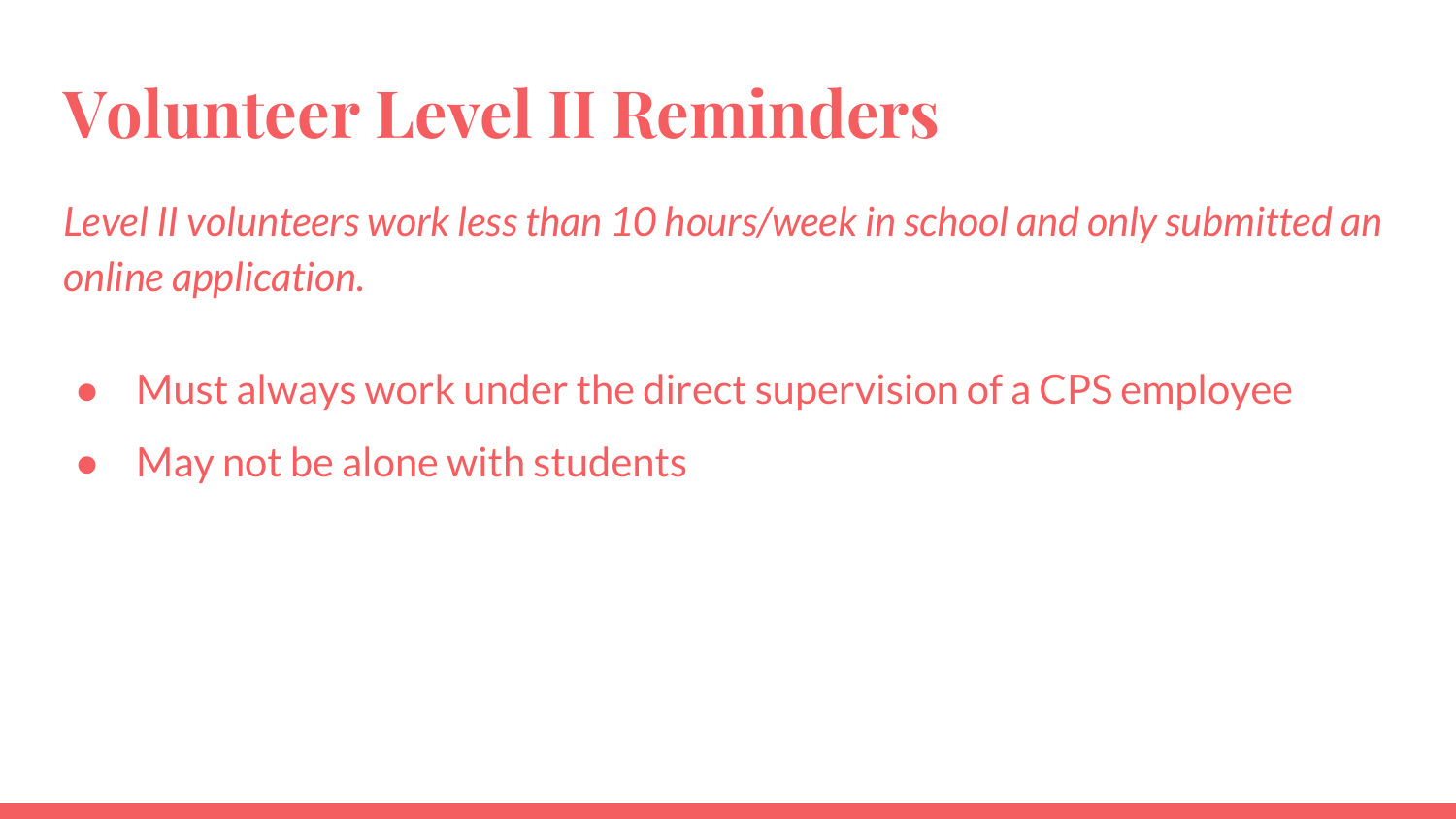## **Volunteer Level II Reminders**

*Level II volunteers work less than 10 hours/week in school and only submitted an online application.* 

- Must always work under the direct supervision of a CPS employee
- May not be alone with students